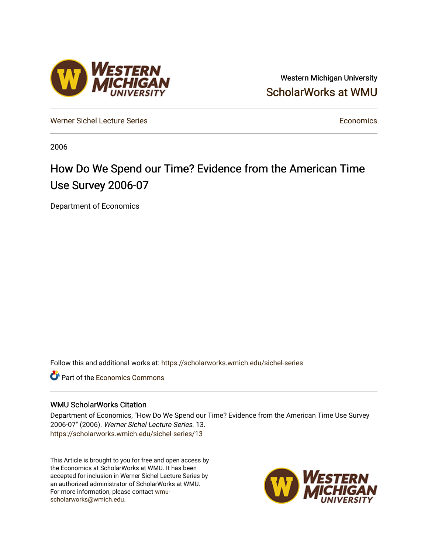## Western Michigan University [ScholarWorks at WMU](https://scholarworks.wmich.edu/)

[Werner Sichel Lecture Series](https://scholarworks.wmich.edu/sichel-series) **Economics** [Economics](https://scholarworks.wmich.edu/economics) **Economics** 

2006

# How Do We Spend our Time? Evidence from the American Time Use Survey 2006-07

Department of Economics

Follow this and additional works at: [https://scholarworks.wmich.edu/sichel-series](https://scholarworks.wmich.edu/sichel-series?utm_source=scholarworks.wmich.edu%2Fsichel-series%2F13&utm_medium=PDF&utm_campaign=PDFCoverPages) 

**C** Part of the [Economics Commons](http://network.bepress.com/hgg/discipline/340?utm_source=scholarworks.wmich.edu%2Fsichel-series%2F13&utm_medium=PDF&utm_campaign=PDFCoverPages)

### WMU ScholarWorks Citation

Department of Economics, "How Do We Spend our Time? Evidence from the American Time Use Survey 2006-07" (2006). Werner Sichel Lecture Series. 13. [https://scholarworks.wmich.edu/sichel-series/13](https://scholarworks.wmich.edu/sichel-series/13?utm_source=scholarworks.wmich.edu%2Fsichel-series%2F13&utm_medium=PDF&utm_campaign=PDFCoverPages)

This Article is brought to you for free and open access by the Economics at ScholarWorks at WMU. It has been accepted for inclusion in Werner Sichel Lecture Series by an authorized administrator of ScholarWorks at WMU. For more information, please contact [wmu](mailto:wmu-scholarworks@wmich.edu)[scholarworks@wmich.edu.](mailto:wmu-scholarworks@wmich.edu)



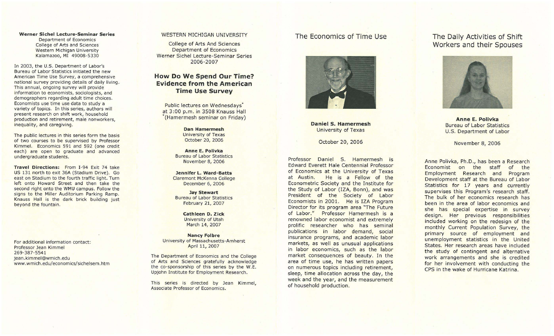#### Werner Sichel Lecture-Seminar Series Department of Economics College of Arts and Sciences

Western Michigan University Kalamazoo, MI 49008-5330

In 2003, the U.S. Department of Labor's Bureau of Labor Statistics initiated the new American Time Use Survey, a comprehensive national survey providing details of daily living . This annual, ongoing survey will provide information to economists, sociologists, and demographers regarding adult time choices. Economists use time use data to study a variety of topics. In this series, authors will present research on shift work, household production and retirement, male nonworkers, inequality, and caregiving.

The public lectures in this series form the basis of two courses to be supervised by Professor Kimmel. Economics 591 and 592 (one credit each) are open to graduate and advanced undergraduate students.

Travel Directions: From I-94 Exit 74 take US 131 north to exit 36A (Stadium Drive). Go east on Stadium to the fourth traffic light. Turn left onto Howard Street and then take the second right onto the WMU campus. Follow the signs to the Miller Auditorium Parking Ramp. Knauss Hall is the dark brick building just beyond the fountain.

For additional information contact: Professor Jean Kimmel 269-387-5541 jean.kimmel@wmich.edu www.wmich.edu/economics/sichelsem.htm

#### WESTERN MICHIGAN UNIVERSITY

College of Arts And Sciences Department of Economics Werner Sichel Lecture-Seminar Series 2006-2007

## How Do We Spend Our Time? Evidence from the American Time Use Survey

Public lectures on Wednesdays\* at 3:00 p.m. in 3508 Knauss Hall \*(Hamermesh seminar on Friday)

> Dan Hamermesh University of Texas October 20, 2006

Anne E. Polivka Bureau of Labor Statistics November 8, 2006

Jennifer L. Ward-Batts Claremont McKenna College December 6, 2006

Jay Stewart Bureau of Labor Statistics February 21, 2007

> Cathleen D. Zick University of Utah March 14, 2007

Nancy Folbre University of Massachusetts-Amherst April 11, 2007

The Department of Economics and the College of Arts and Sciences gratefully acknowledge the co-sponsorship of this series by the W.E. Upjohn Institute for Employment Research.

This series is directed by Jean Kimmel, Associate Professor of Economics.

## The Economics of Time Use



Daniel S. Hamermesh University of Texas

October 20, 2006

Professor Daniel S. Hamermesh is Edward Everett Hale Centennial Professor of Economics at the University of Texas at Austin. He is a Fellow of the Econometric Society and the Institute for the Study of Labor (IZA, Bonn), and was President of the Society of Labor Economists in 2001. He is IZA Program Director for its program area "The Future of Labor." Professor Hamermesh is a renowned labor economist and extremely prolific researcher who has seminal publications in labor demand, social insurance programs, and academic labor markets, as well as unusual applications in labor economics, such as the labor market consequences of beauty. In the area of time use, he has written papers on numerous topics including retirement, sleep, time allocation across the day, the week and the year, and the measurement of household production.

## The Daily Activities of Shift Workers and their Spouses



Anne E. Polivka Bureau of Labor Statistics U.S. Department of Labor

November 8, 2006

Anne Polivka, Ph.D., has been a Research Economist on the staff of the Employment Research and Program Development staff at the Bureau of Labor Statistics for 17 years and currently supervises this Program's research staff. The bulk of her economics research has been in the area of labor economics and she has special expertise in survey design. Her previous responsibilities included working on the redesign of the monthly Current Population Survey, the primary source of employment and unemployment statistics in the United States. Her research areas have included the study of contingent and alternative work arrangements and she is credited for her involvement with conducting the CPS in the wake of Hurricane Katrina.